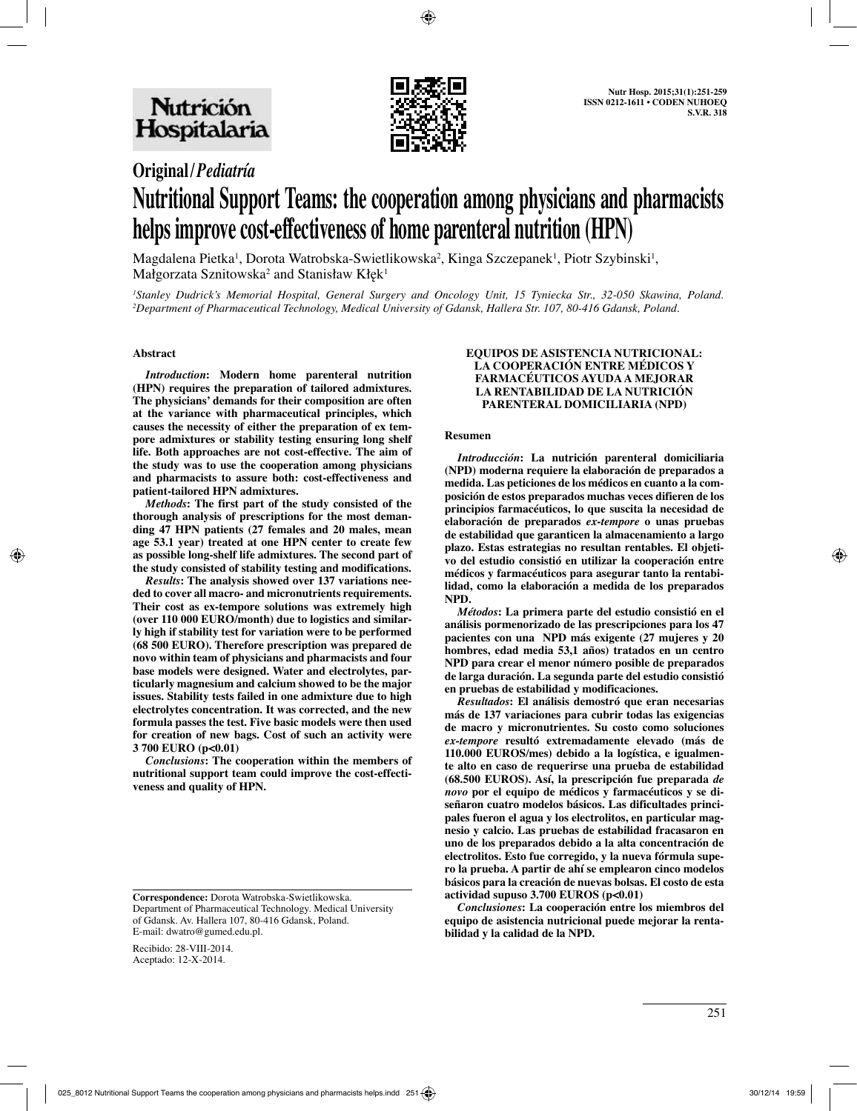

## **Original/***Pediatría*

# **Nutritional Support Teams: the cooperation among physicians and pharmacists helps improve cost-effectiveness of home parenteral nutrition (HPN)**

Magdalena Pietka<sup>i</sup>, Dorota Watrobska-Swietlikowska<sup>2</sup>, Kinga Szczepanek<sup>i</sup>, Piotr Szybinski<sup>i</sup>, Małgorzata Sznitowska $^2$  and Stanisław Kłęk $^1$ 

*1 Stanley Dudrick's Memorial Hospital, General Surgery and Oncology Unit, 15 Tyniecka Str., 32-050 Skawina, Poland. 2 Department of Pharmaceutical Technology, Medical University of Gdansk, Hallera Str. 107, 80-416 Gdansk, Poland.* 

#### **Abstract**

*Introduction***: Modern home parenteral nutrition (HPN) requires the preparation of tailored admixtures. The physicians' demands for their composition are often at the variance with pharmaceutical principles, which causes the necessity of either the preparation of ex tempore admixtures or stability testing ensuring long shelf life. Both approaches are not cost-effective. The aim of the study was to use the cooperation among physicians and pharmacists to assure both: cost-effectiveness and patient-tailored HPN admixtures.** 

*Methods***: The first part of the study consisted of the thorough analysis of prescriptions for the most demanding 47 HPN patients (27 females and 20 males, mean age 53.1 year) treated at one HPN center to create few as possible long-shelf life admixtures. The second part of the study consisted of stability testing and modifications.** 

*Results***: The analysis showed over 137 variations needed to cover all macro- and micronutrients requirements. Their cost as ex-tempore solutions was extremely high (over 110 000 EURO/month) due to logistics and similarly high if stability test for variation were to be performed (68 500 EURO). Therefore prescription was prepared de novo within team of physicians and pharmacists and four base models were designed. Water and electrolytes, particularly magnesium and calcium showed to be the major issues. Stability tests failed in one admixture due to high electrolytes concentration. It was corrected, and the new formula passes the test. Five basic models were then used for creation of new bags. Cost of such an activity were 3 700 EURO (p<0.01)**

*Conclusions***: The cooperation within the members of nutritional support team could improve the cost-effectiveness and quality of HPN.**

Recibido: 28-VIII-2014. Aceptado: 12-X-2014.

#### **EQUIPOS DE ASISTENCIA NUTRICIONAL: LA COOPERACIÓN ENTRE MÉDICOS Y FARMACÉUTICOS AYUDA A MEJORAR LA RENTABILIDAD DE LA NUTRICIÓN PARENTERAL DOMICILIARIA (NPD)**

#### **Resumen**

*Introducción***: La nutrición parenteral domiciliaria (NPD) moderna requiere la elaboración de preparados a medida. Las peticiones de los médicos en cuanto a la composición de estos preparados muchas veces difieren de los principios farmacéuticos, lo que suscita la necesidad de elaboración de preparados** *ex-tempore* **o unas pruebas de estabilidad que garanticen la almacenamiento a largo plazo. Estas estrategias no resultan rentables. El objetivo del estudio consistió en utilizar la cooperación entre médicos y farmacéuticos para asegurar tanto la rentabilidad, como la elaboración a medida de los preparados NPD.**

*Métodos***: La primera parte del estudio consistió en el análisis pormenorizado de las prescripciones para los 47 pacientes con una NPD más exigente (27 mujeres y 20 hombres, edad media 53,1 años) tratados en un centro NPD para crear el menor número posible de preparados de larga duración. La segunda parte del estudio consistió en pruebas de estabilidad y modificaciones.**

*Resultados***: El análisis demostró que eran necesarias más de 137 variaciones para cubrir todas las exigencias de macro y micronutrientes. Su costo como soluciones**  *ex-tempore* **resultó extremadamente elevado (más de 110.000 EUROS/mes) debido a la logística, e igualmente alto en caso de requerirse una prueba de estabilidad (68.500 EUROS). Así, la prescripción fue preparada** *de novo* **por el equipo de médicos y farmacéuticos y se diseñaron cuatro modelos básicos. Las dificultades principales fueron el agua y los electrolitos, en particular magnesio y calcio. Las pruebas de estabilidad fracasaron en uno de los preparados debido a la alta concentración de electrolitos. Esto fue corregido, y la nueva fórmula supero la prueba. A partir de ahí se emplearon cinco modelos básicos para la creación de nuevas bolsas. El costo de esta actividad supuso 3.700 EUROS (p<0.01)**

*Conclusiones***: La cooperación entre los miembros del equipo de asistencia nutricional puede mejorar la rentabilidad y la calidad de la NPD.**

**Correspondence:** Dorota Watrobska-Swietlikowska. Department of Pharmaceutical Technology. Medical University of Gdansk. Av. Hallera 107, 80-416 Gdansk, Poland. E-mail: dwatro@gumed.edu.pl.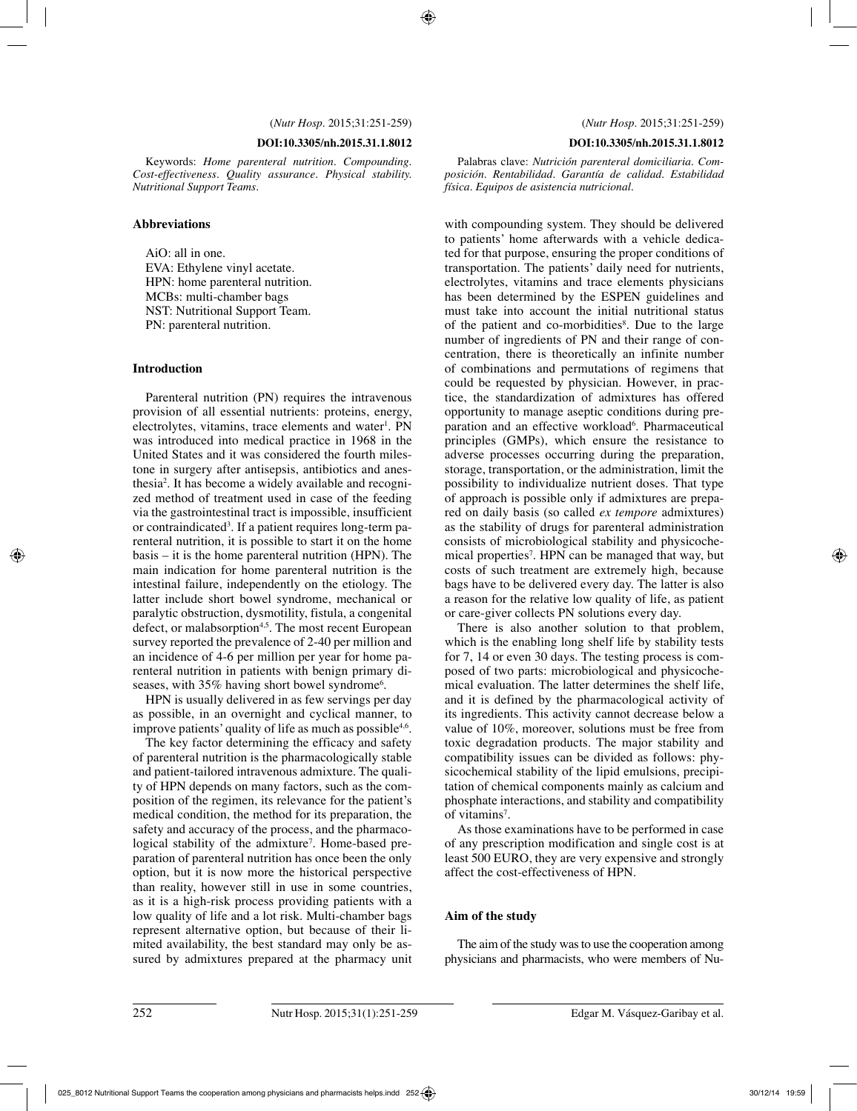#### **DOI:10.3305/nh.2015.31.1.8012**

Keywords: *Home parenteral nutrition. Compounding. Cost-effectiveness. Quality assurance. Physical stability. Nutritional Support Teams.*

#### **Abbreviations**

AiO: all in one. EVA: Ethylene vinyl acetate. HPN: home parenteral nutrition. MCBs: multi-chamber bags NST: Nutritional Support Team. PN: parenteral nutrition.

#### **Introduction**

Parenteral nutrition (PN) requires the intravenous provision of all essential nutrients: proteins, energy, electrolytes, vitamins, trace elements and water<sup>1</sup>. PN was introduced into medical practice in 1968 in the United States and it was considered the fourth milestone in surgery after antisepsis, antibiotics and anesthesia2 . It has become a widely available and recognized method of treatment used in case of the feeding via the gastrointestinal tract is impossible, insufficient or contraindicated<sup>3</sup>. If a patient requires long-term parenteral nutrition, it is possible to start it on the home basis – it is the home parenteral nutrition (HPN). The main indication for home parenteral nutrition is the intestinal failure, independently on the etiology. The latter include short bowel syndrome, mechanical or paralytic obstruction, dysmotility, fistula, a congenital defect, or malabsorption<sup>4,5</sup>. The most recent European survey reported the prevalence of 2-40 per million and an incidence of 4-6 per million per year for home parenteral nutrition in patients with benign primary diseases, with 35% having short bowel syndrome<sup>6</sup>.

HPN is usually delivered in as few servings per day as possible, in an overnight and cyclical manner, to improve patients' quality of life as much as possible<sup>4,6</sup>.

The key factor determining the efficacy and safety of parenteral nutrition is the pharmacologically stable and patient-tailored intravenous admixture. The quality of HPN depends on many factors, such as the composition of the regimen, its relevance for the patient's medical condition, the method for its preparation, the safety and accuracy of the process, and the pharmacological stability of the admixture<sup>7</sup>. Home-based preparation of parenteral nutrition has once been the only option, but it is now more the historical perspective than reality, however still in use in some countries, as it is a high-risk process providing patients with a low quality of life and a lot risk. Multi-chamber bags represent alternative option, but because of their limited availability, the best standard may only be assured by admixtures prepared at the pharmacy unit

#### **DOI:10.3305/nh.2015.31.1.8012**

Palabras clave: *Nutrición parenteral domiciliaria. Composición. Rentabilidad. Garantía de calidad. Estabilidad física. Equipos de asistencia nutricional.*

with compounding system. They should be delivered to patients' home afterwards with a vehicle dedicated for that purpose, ensuring the proper conditions of transportation. The patients' daily need for nutrients, electrolytes, vitamins and trace elements physicians has been determined by the ESPEN guidelines and must take into account the initial nutritional status of the patient and co-morbidities<sup>8</sup>. Due to the large number of ingredients of PN and their range of concentration, there is theoretically an infinite number of combinations and permutations of regimens that could be requested by physician. However, in practice, the standardization of admixtures has offered opportunity to manage aseptic conditions during preparation and an effective workload<sup>6</sup>. Pharmaceutical principles (GMPs), which ensure the resistance to adverse processes occurring during the preparation, storage, transportation, or the administration, limit the possibility to individualize nutrient doses. That type of approach is possible only if admixtures are prepared on daily basis (so called *ex tempore* admixtures) as the stability of drugs for parenteral administration consists of microbiological stability and physicochemical properties<sup>7</sup>. HPN can be managed that way, but costs of such treatment are extremely high, because bags have to be delivered every day. The latter is also a reason for the relative low quality of life, as patient or care-giver collects PN solutions every day.

There is also another solution to that problem, which is the enabling long shelf life by stability tests for 7, 14 or even 30 days. The testing process is composed of two parts: microbiological and physicochemical evaluation. The latter determines the shelf life, and it is defined by the pharmacological activity of its ingredients. This activity cannot decrease below a value of 10%, moreover, solutions must be free from toxic degradation products. The major stability and compatibility issues can be divided as follows: physicochemical stability of the lipid emulsions, precipitation of chemical components mainly as calcium and phosphate interactions, and stability and compatibility of vitamins<sup>7</sup>.

As those examinations have to be performed in case of any prescription modification and single cost is at least 500 EURO, they are very expensive and strongly affect the cost-effectiveness of HPN.

#### **Aim of the study**

The aim of the study was to use the cooperation among physicians and pharmacists, who were members of Nu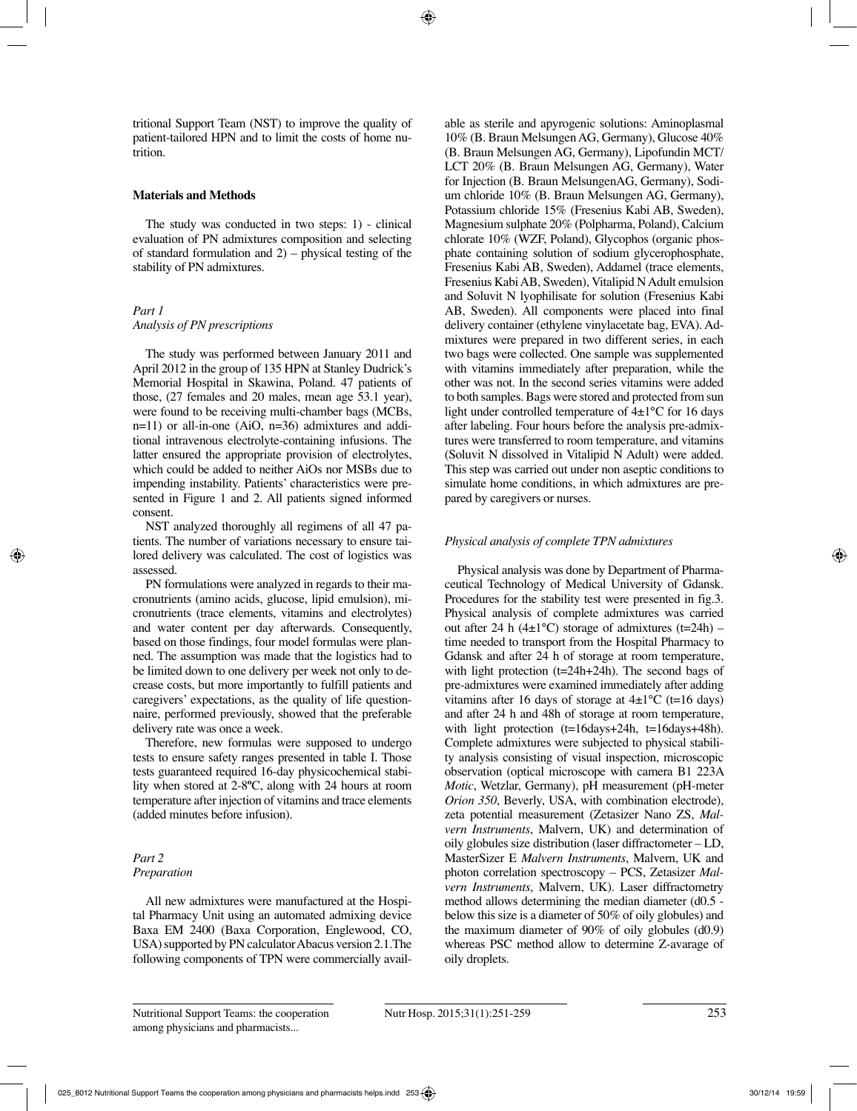tritional Support Team (NST) to improve the quality of patient-tailored HPN and to limit the costs of home nutrition.

## **Materials and Methods**

The study was conducted in two steps: 1) - clinical evaluation of PN admixtures composition and selecting of standard formulation and  $2$ ) – physical testing of the stability of PN admixtures.

## *Part 1 Analysis of PN prescriptions*

The study was performed between January 2011 and April 2012 in the group of 135 HPN at Stanley Dudrick's Memorial Hospital in Skawina, Poland. 47 patients of those, (27 females and 20 males, mean age 53.1 year), were found to be receiving multi-chamber bags (MCBs, n=11) or all-in-one (AiO, n=36) admixtures and additional intravenous electrolyte-containing infusions. The latter ensured the appropriate provision of electrolytes, which could be added to neither AiOs nor MSBs due to impending instability. Patients' characteristics were presented in Figure 1 and 2. All patients signed informed consent.

NST analyzed thoroughly all regimens of all 47 patients. The number of variations necessary to ensure tailored delivery was calculated. The cost of logistics was assessed.

PN formulations were analyzed in regards to their macronutrients (amino acids, glucose, lipid emulsion), micronutrients (trace elements, vitamins and electrolytes) and water content per day afterwards. Consequently, based on those findings, four model formulas were planned. The assumption was made that the logistics had to be limited down to one delivery per week not only to decrease costs, but more importantly to fulfill patients and caregivers' expectations, as the quality of life questionnaire, performed previously, showed that the preferable delivery rate was once a week.

Therefore, new formulas were supposed to undergo tests to ensure safety ranges presented in table I. Those tests guaranteed required 16-day physicochemical stability when stored at 2-8**º**C, along with 24 hours at room temperature after injection of vitamins and trace elements (added minutes before infusion).

## *Part 2 Preparation*

All new admixtures were manufactured at the Hospital Pharmacy Unit using an automated admixing device Baxa EM 2400 (Baxa Corporation, Englewood, CO, USA) supported by PN calculator Abacus version 2.1.The following components of TPN were commercially available as sterile and apyrogenic solutions: Aminoplasmal 10% (B. Braun Melsungen AG, Germany), Glucose 40% (B. Braun Melsungen AG, Germany), Lipofundin MCT/ LCT 20% (B. Braun Melsungen AG, Germany), Water for Injection (B. Braun MelsungenAG, Germany), Sodium chloride 10% (B. Braun Melsungen AG, Germany), Potassium chloride 15% (Fresenius Kabi AB, Sweden), Magnesium sulphate 20% (Polpharma, Poland), Calcium chlorate 10% (WZF, Poland), Glycophos (organic phosphate containing solution of sodium glycerophosphate, Fresenius Kabi AB, Sweden), Addamel (trace elements, Fresenius Kabi AB, Sweden), Vitalipid N Adult emulsion and Soluvit N lyophilisate for solution (Fresenius Kabi AB, Sweden). All components were placed into final delivery container (ethylene vinylacetate bag, EVA). Admixtures were prepared in two different series, in each two bags were collected. One sample was supplemented with vitamins immediately after preparation, while the other was not. In the second series vitamins were added to both samples. Bags were stored and protected from sun light under controlled temperature of 4±1°C for 16 days after labeling. Four hours before the analysis pre-admixtures were transferred to room temperature, and vitamins (Soluvit N dissolved in Vitalipid N Adult) were added. This step was carried out under non aseptic conditions to simulate home conditions, in which admixtures are prepared by caregivers or nurses.

## *Physical analysis of complete TPN admixtures*

Physical analysis was done by Department of Pharmaceutical Technology of Medical University of Gdansk. Procedures for the stability test were presented in fig.3. Physical analysis of complete admixtures was carried out after 24 h (4 $\pm$ 1°C) storage of admixtures (t=24h) – time needed to transport from the Hospital Pharmacy to Gdansk and after 24 h of storage at room temperature, with light protection (t=24h+24h). The second bags of pre-admixtures were examined immediately after adding vitamins after 16 days of storage at  $4\pm1\degree C$  (t=16 days) and after 24 h and 48h of storage at room temperature, with light protection (t=16days+24h, t=16days+48h). Complete admixtures were subjected to physical stability analysis consisting of visual inspection, microscopic observation (optical microscope with camera B1 223A *Motic*, Wetzlar, Germany), pH measurement (pH-meter *Orion 350*, Beverly, USA, with combination electrode), zeta potential measurement (Zetasizer Nano ZS, *Malvern Instruments*, Malvern, UK) and determination of oily globules size distribution (laser diffractometer – LD, MasterSizer E *Malvern Instruments*, Malvern, UK and photon correlation spectroscopy – PCS, Zetasizer *Malvern Instruments*, Malvern, UK). Laser diffractometry method allows determining the median diameter (d0.5 below this size is a diameter of 50% of oily globules) and the maximum diameter of 90% of oily globules (d0.9) whereas PSC method allow to determine Z-avarage of oily droplets.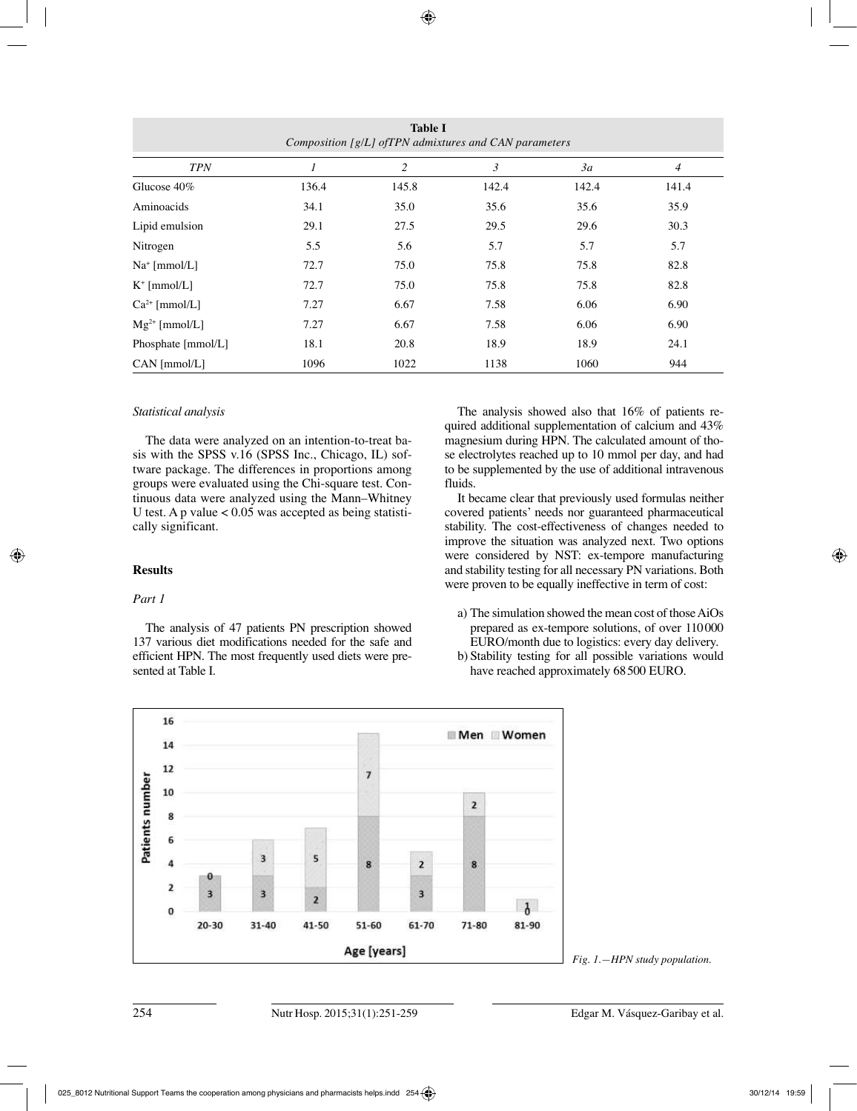| <b>Table I</b><br>Composition [g/L] of TPN admixtures and CAN parameters |       |       |       |       |                |
|--------------------------------------------------------------------------|-------|-------|-------|-------|----------------|
| <b>TPN</b>                                                               |       | 2     | 3     | 3a    | $\overline{4}$ |
| Glucose 40%                                                              | 136.4 | 145.8 | 142.4 | 142.4 | 141.4          |
| Aminoacids                                                               | 34.1  | 35.0  | 35.6  | 35.6  | 35.9           |
| Lipid emulsion                                                           | 29.1  | 27.5  | 29.5  | 29.6  | 30.3           |
| Nitrogen                                                                 | 5.5   | 5.6   | 5.7   | 5.7   | 5.7            |
| $Na+ [mmol/L]$                                                           | 72.7  | 75.0  | 75.8  | 75.8  | 82.8           |
| $K^+$ [mmol/L]                                                           | 72.7  | 75.0  | 75.8  | 75.8  | 82.8           |
| $Ca^{2+}$ [mmol/L]                                                       | 7.27  | 6.67  | 7.58  | 6.06  | 6.90           |
| $Mg^{2+}$ [mmol/L]                                                       | 7.27  | 6.67  | 7.58  | 6.06  | 6.90           |
| Phosphate [mmol/L]                                                       | 18.1  | 20.8  | 18.9  | 18.9  | 24.1           |
| CAN [mmol/L]                                                             | 1096  | 1022  | 1138  | 1060  | 944            |

#### *Statistical analysis*

The data were analyzed on an intention-to-treat basis with the SPSS v.16 (SPSS Inc., Chicago, IL) software package. The differences in proportions among groups were evaluated using the Chi-square test. Continuous data were analyzed using the Mann–Whitney U test. A p value  $< 0.05$  was accepted as being statistically significant.

#### **Results**

#### *Part 1*

The analysis of 47 patients PN prescription showed 137 various diet modifications needed for the safe and efficient HPN. The most frequently used diets were presented at Table I.

The analysis showed also that 16% of patients required additional supplementation of calcium and 43% magnesium during HPN. The calculated amount of those electrolytes reached up to 10 mmol per day, and had to be supplemented by the use of additional intravenous fluids.

It became clear that previously used formulas neither covered patients' needs nor guaranteed pharmaceutical stability. The cost-effectiveness of changes needed to improve the situation was analyzed next. Two options were considered by NST: ex-tempore manufacturing and stability testing for all necessary PN variations. Both were proven to be equally ineffective in term of cost:

- a) The simulation showed the mean cost of those AiOs prepared as ex-tempore solutions, of over 110000 EURO/month due to logistics: every day delivery.
- b) Stability testing for all possible variations would have reached approximately 68500 EURO.



*Fig. 1.—HPN study population.*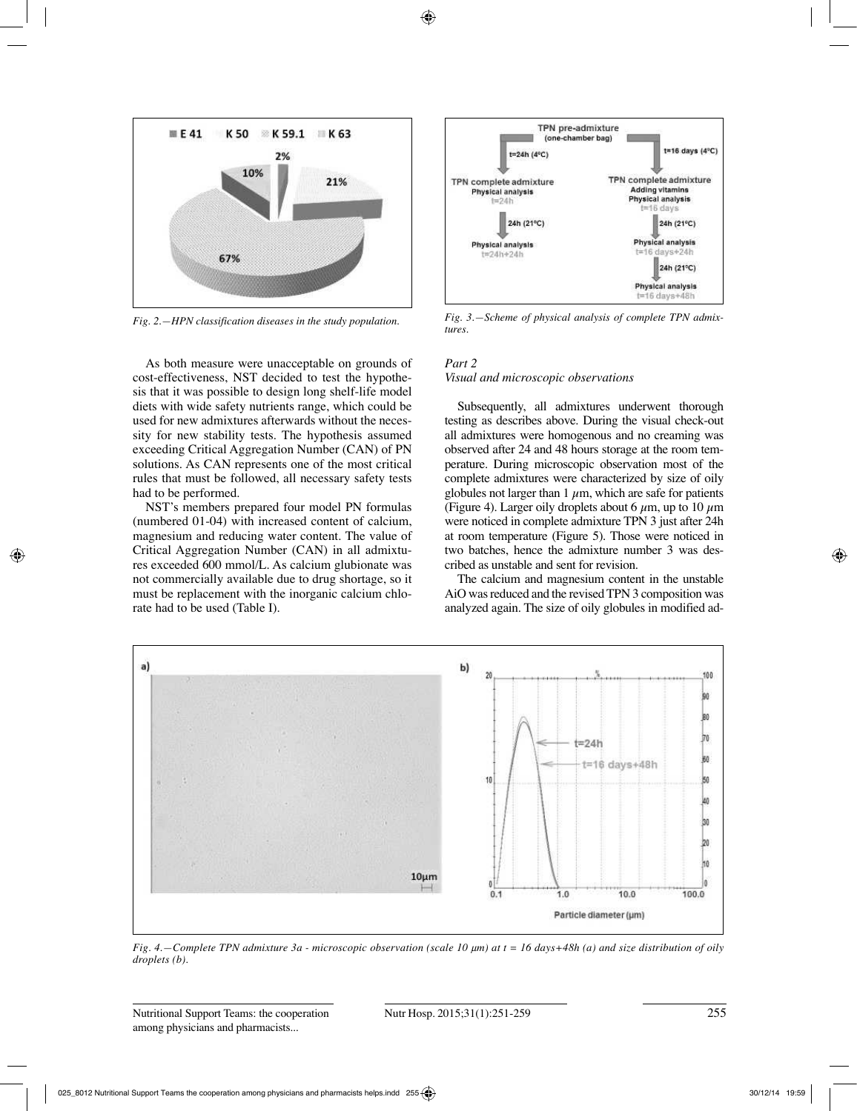

As both measure were unacceptable on grounds of cost-effectiveness, NST decided to test the hypothesis that it was possible to design long shelf-life model diets with wide safety nutrients range, which could be used for new admixtures afterwards without the necessity for new stability tests. The hypothesis assumed exceeding Critical Aggregation Number (CAN) of PN solutions. As CAN represents one of the most critical rules that must be followed, all necessary safety tests had to be performed.

NST's members prepared four model PN formulas (numbered 01-04) with increased content of calcium, magnesium and reducing water content. The value of Critical Aggregation Number (CAN) in all admixtures exceeded 600 mmol/L. As calcium glubionate was not commercially available due to drug shortage, so it must be replacement with the inorganic calcium chlorate had to be used (Table I).



*Fig. 2.—HPN classification diseases in the study population. Fig. 3.—Scheme of physical analysis of complete TPN admixtures.*

#### *Part 2*

#### *Visual and microscopic observations*

Subsequently, all admixtures underwent thorough testing as describes above. During the visual check-out all admixtures were homogenous and no creaming was observed after 24 and 48 hours storage at the room temperature. During microscopic observation most of the complete admixtures were characterized by size of oily globules not larger than  $1 \mu m$ , which are safe for patients (Figure 4). Larger oily droplets about 6  $\mu$ m, up to 10  $\mu$ m were noticed in complete admixture TPN 3 just after 24h at room temperature (Figure 5). Those were noticed in two batches, hence the admixture number 3 was described as unstable and sent for revision.

The calcium and magnesium content in the unstable AiO was reduced and the revised TPN 3 composition was analyzed again. The size of oily globules in modified ad-



*Fig. 4.—Complete TPN admixture 3a - microscopic observation (scale 10*  $\mu$ *m) at t = 16 days+48h (a) and size distribution of oily*  $droplets (b).$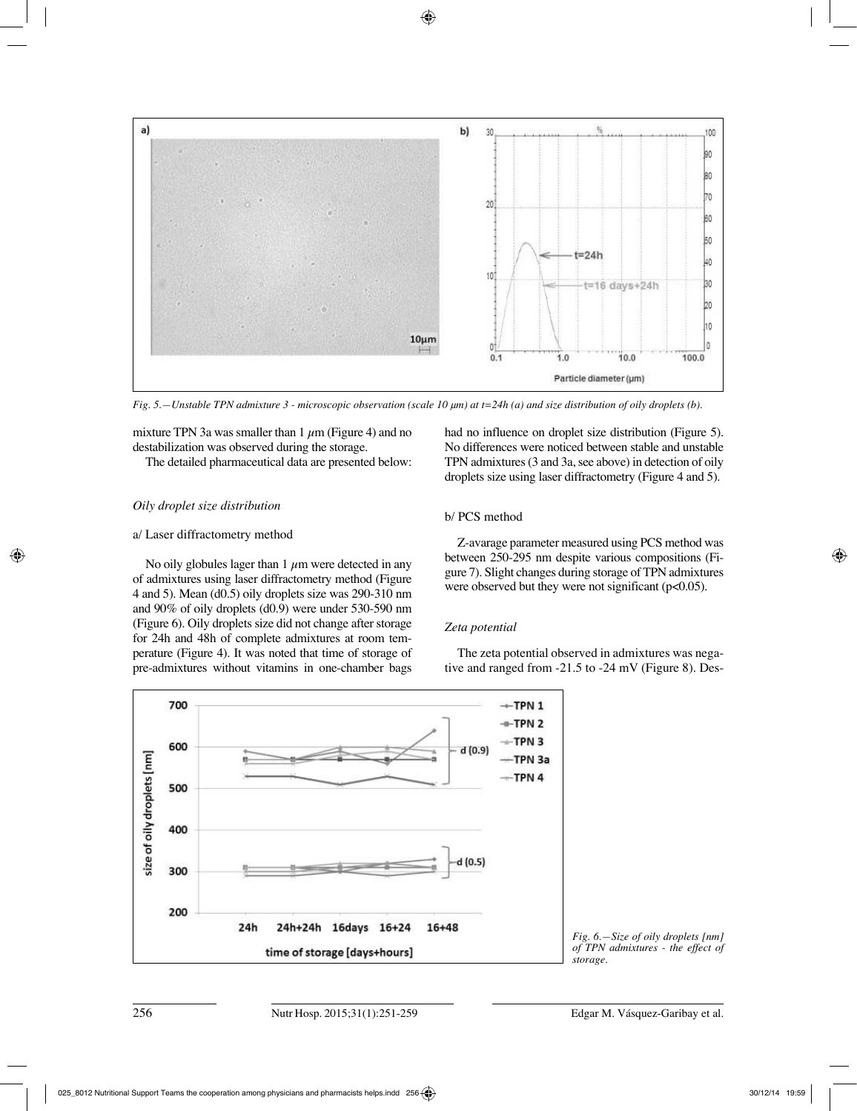

*Fig.* 5.—Unstable TPN admixture 3 - microscopic observation (scale 10  $\mu$ m) at t=24h (a) and size distribution of oily droplets (b).

mixture TPN 3a was smaller than 1  $\mu$ m (Figure 4) and no destabilization was observed during the storage.

The detailed pharmaceutical data are presented below:

## *Oily droplet size distribution*

#### a/ Laser diffractometry method

No oily globules lager than 1  $\mu$ m were detected in any of admixtures using laser diffractometry method (Figure 4 and 5). Mean (d0.5) oily droplets size was 290-310 nm and 90% of oily droplets (d0.9) were under 530-590 nm (Figure 6). Oily droplets size did not change after storage for 24h and 48h of complete admixtures at room temperature (Figure 4). It was noted that time of storage of pre-admixtures without vitamins in one-chamber bags had no influence on droplet size distribution (Figure 5). No differences were noticed between stable and unstable TPN admixtures (3 and 3a, see above) in detection of oily droplets size using laser diffractometry (Figure 4 and 5).

## b/ PCS method

Z-avarage parameter measured using PCS method was between 250-295 nm despite various compositions (Figure 7). Slight changes during storage of TPN admixtures were observed but they were not significant ( $p<0.05$ ).

## *Zeta potential*

The zeta potential observed in admixtures was negative and ranged from -21.5 to -24 mV (Figure 8). Des-



*Fig. 6.—Size of oily droplets [nm] of TPN admixtures - the effect of storage.*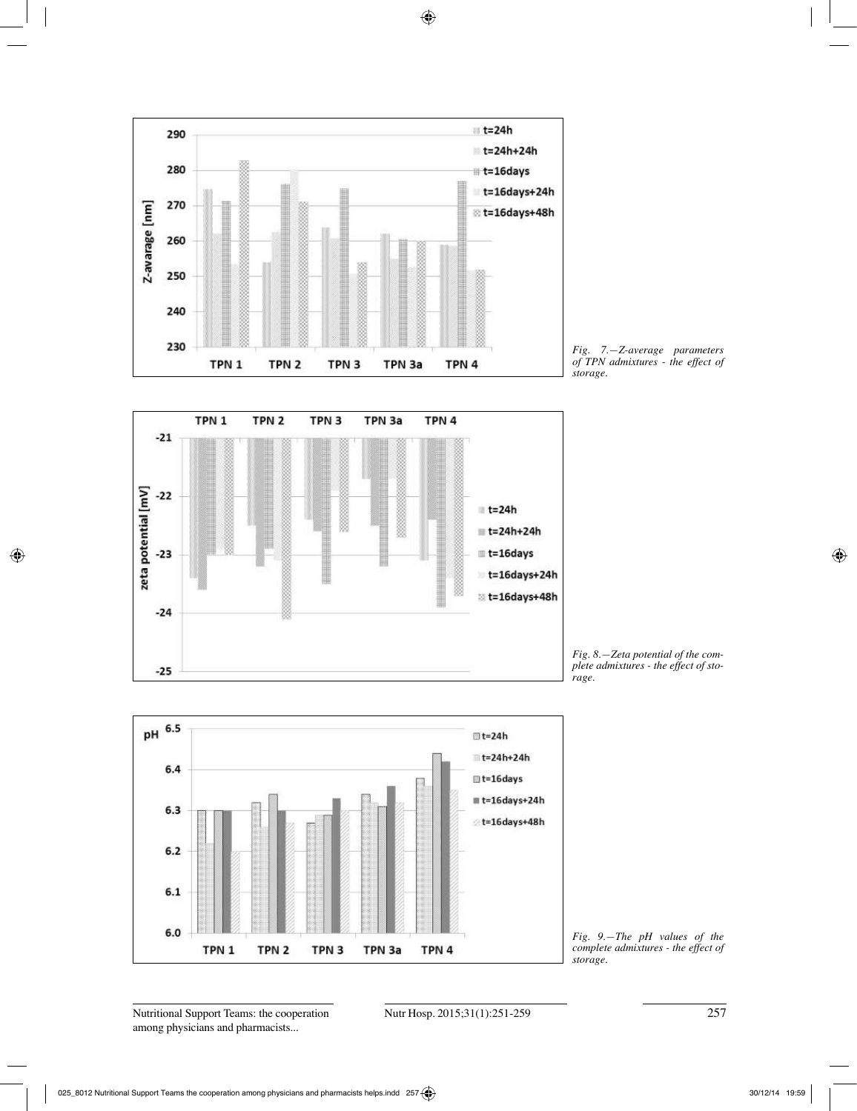

*Fig. 7.—Z-average parameters of TPN admixtures - the effect of storage.*



*Fig. 8.—Zeta potential of the complete admixtures - the effect of storage.*



*Fig. 9.—The pH values of the complete admixtures - the effect of storage.*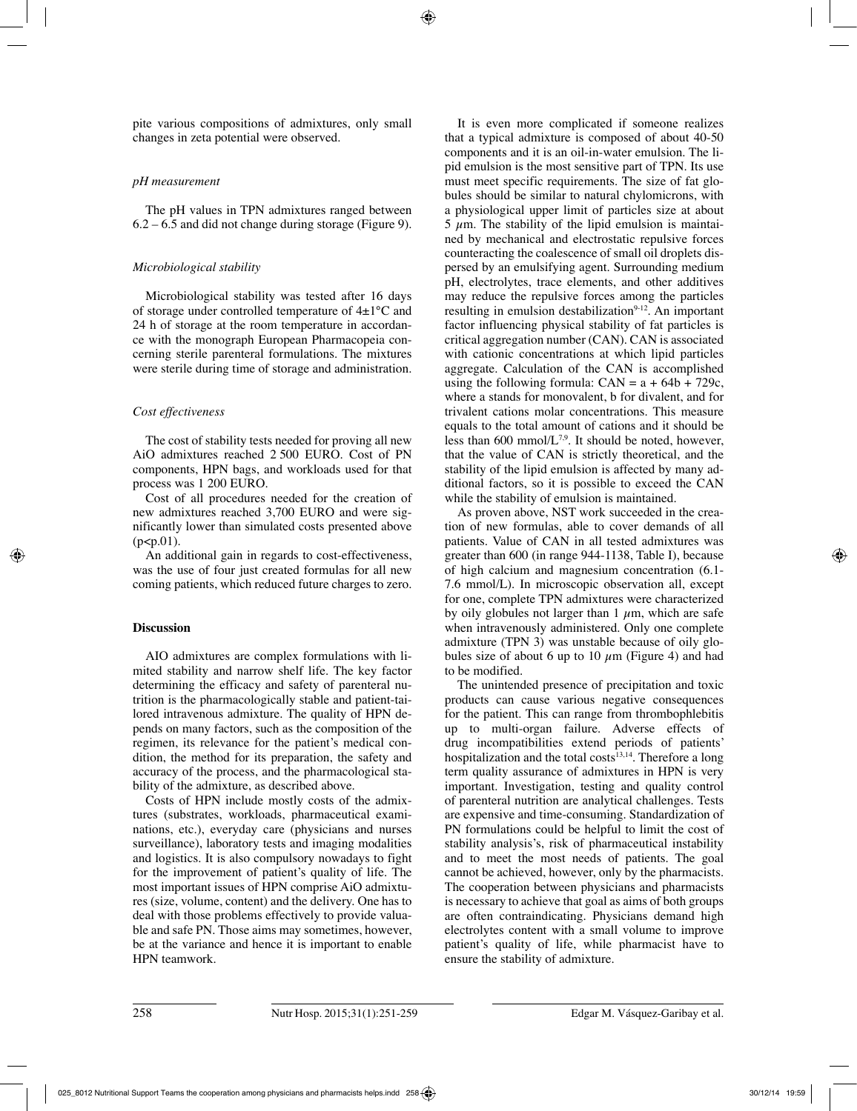pite various compositions of admixtures, only small changes in zeta potential were observed.

## *pH measurement*

The pH values in TPN admixtures ranged between  $6.2 - 6.5$  and did not change during storage (Figure 9).

## *Microbiological stability*

Microbiological stability was tested after 16 days of storage under controlled temperature of 4±1°C and 24 h of storage at the room temperature in accordance with the monograph European Pharmacopeia concerning sterile parenteral formulations. The mixtures were sterile during time of storage and administration.

## *Cost effectiveness*

The cost of stability tests needed for proving all new AiO admixtures reached 2 500 EURO. Cost of PN components, HPN bags, and workloads used for that process was 1 200 EURO.

Cost of all procedures needed for the creation of new admixtures reached 3,700 EURO and were significantly lower than simulated costs presented above  $(p < p.01)$ .

An additional gain in regards to cost-effectiveness, was the use of four just created formulas for all new coming patients, which reduced future charges to zero.

## **Discussion**

AIO admixtures are complex formulations with limited stability and narrow shelf life. The key factor determining the efficacy and safety of parenteral nutrition is the pharmacologically stable and patient-tailored intravenous admixture. The quality of HPN depends on many factors, such as the composition of the regimen, its relevance for the patient's medical condition, the method for its preparation, the safety and accuracy of the process, and the pharmacological stability of the admixture, as described above.

Costs of HPN include mostly costs of the admixtures (substrates, workloads, pharmaceutical examinations, etc.), everyday care (physicians and nurses surveillance), laboratory tests and imaging modalities and logistics. It is also compulsory nowadays to fight for the improvement of patient's quality of life. The most important issues of HPN comprise AiO admixtures (size, volume, content) and the delivery. One has to deal with those problems effectively to provide valuable and safe PN. Those aims may sometimes, however, be at the variance and hence it is important to enable HPN teamwork.

It is even more complicated if someone realizes that a typical admixture is composed of about 40-50 components and it is an oil-in-water emulsion. The lipid emulsion is the most sensitive part of TPN. Its use must meet specific requirements. The size of fat globules should be similar to natural chylomicrons, with a physiological upper limit of particles size at about  $5 \mu$ m. The stability of the lipid emulsion is maintained by mechanical and electrostatic repulsive forces counteracting the coalescence of small oil droplets dispersed by an emulsifying agent. Surrounding medium pH, electrolytes, trace elements, and other additives may reduce the repulsive forces among the particles resulting in emulsion destabilization<sup>9-12</sup>. An important factor influencing physical stability of fat particles is critical aggregation number (CAN). CAN is associated with cationic concentrations at which lipid particles aggregate. Calculation of the CAN is accomplished using the following formula:  $CAN = a + 64b + 729c$ , where a stands for monovalent, b for divalent, and for trivalent cations molar concentrations. This measure equals to the total amount of cations and it should be less than 600 mmol/ $L^{7,9}$ . It should be noted, however, that the value of CAN is strictly theoretical, and the stability of the lipid emulsion is affected by many additional factors, so it is possible to exceed the CAN while the stability of emulsion is maintained.

As proven above, NST work succeeded in the creation of new formulas, able to cover demands of all patients. Value of CAN in all tested admixtures was greater than 600 (in range 944-1138, Table I), because of high calcium and magnesium concentration (6.1- 7.6 mmol/L). In microscopic observation all, except for one, complete TPN admixtures were characterized by oily globules not larger than 1  $\mu$ m, which are safe when intravenously administered. Only one complete admixture (TPN 3) was unstable because of oily globules size of about 6 up to 10  $\mu$ m (Figure 4) and had to be modified.

The unintended presence of precipitation and toxic products can cause various negative consequences for the patient. This can range from thrombophlebitis up to multi-organ failure. Adverse effects of drug incompatibilities extend periods of patients' hospitalization and the total costs<sup>13,14</sup>. Therefore a long term quality assurance of admixtures in HPN is very important. Investigation, testing and quality control of parenteral nutrition are analytical challenges. Tests are expensive and time-consuming. Standardization of PN formulations could be helpful to limit the cost of stability analysis's, risk of pharmaceutical instability and to meet the most needs of patients. The goal cannot be achieved, however, only by the pharmacists. The cooperation between physicians and pharmacists is necessary to achieve that goal as aims of both groups are often contraindicating. Physicians demand high electrolytes content with a small volume to improve patient's quality of life, while pharmacist have to ensure the stability of admixture.